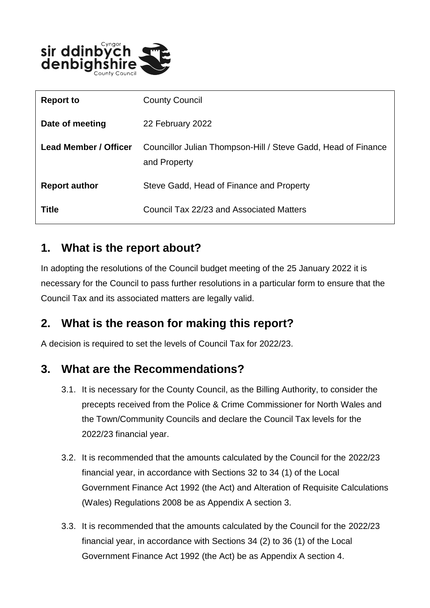

| <b>Report to</b>             | <b>County Council</b>                                                         |
|------------------------------|-------------------------------------------------------------------------------|
| Date of meeting              | 22 February 2022                                                              |
| <b>Lead Member / Officer</b> | Councillor Julian Thompson-Hill / Steve Gadd, Head of Finance<br>and Property |
| <b>Report author</b>         | Steve Gadd, Head of Finance and Property                                      |
| <b>Title</b>                 | Council Tax 22/23 and Associated Matters                                      |

#### **1. What is the report about?**

In adopting the resolutions of the Council budget meeting of the 25 January 2022 it is necessary for the Council to pass further resolutions in a particular form to ensure that the Council Tax and its associated matters are legally valid.

### **2. What is the reason for making this report?**

A decision is required to set the levels of Council Tax for 2022/23.

#### **3. What are the Recommendations?**

- 3.1. It is necessary for the County Council, as the Billing Authority, to consider the precepts received from the Police & Crime Commissioner for North Wales and the Town/Community Councils and declare the Council Tax levels for the 2022/23 financial year.
- 3.2. It is recommended that the amounts calculated by the Council for the 2022/23 financial year, in accordance with Sections 32 to 34 (1) of the Local Government Finance Act 1992 (the Act) and Alteration of Requisite Calculations (Wales) Regulations 2008 be as Appendix A section 3.
- 3.3. It is recommended that the amounts calculated by the Council for the 2022/23 financial year, in accordance with Sections 34 (2) to 36 (1) of the Local Government Finance Act 1992 (the Act) be as Appendix A section 4.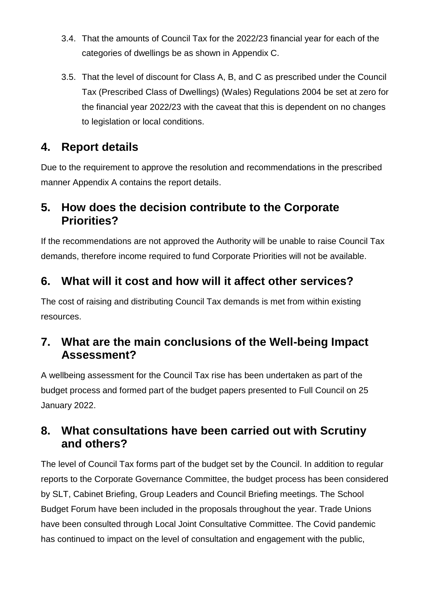- 3.4. That the amounts of Council Tax for the 2022/23 financial year for each of the categories of dwellings be as shown in Appendix C.
- 3.5. That the level of discount for Class A, B, and C as prescribed under the Council Tax (Prescribed Class of Dwellings) (Wales) Regulations 2004 be set at zero for the financial year 2022/23 with the caveat that this is dependent on no changes to legislation or local conditions.

## **4. Report details**

Due to the requirement to approve the resolution and recommendations in the prescribed manner Appendix A contains the report details.

### **5. How does the decision contribute to the Corporate Priorities?**

If the recommendations are not approved the Authority will be unable to raise Council Tax demands, therefore income required to fund Corporate Priorities will not be available.

## **6. What will it cost and how will it affect other services?**

The cost of raising and distributing Council Tax demands is met from within existing resources.

### **7. What are the main conclusions of the Well-being Impact Assessment?**

A wellbeing assessment for the Council Tax rise has been undertaken as part of the budget process and formed part of the budget papers presented to Full Council on 25 January 2022.

#### **8. What consultations have been carried out with Scrutiny and others?**

The level of Council Tax forms part of the budget set by the Council. In addition to regular reports to the Corporate Governance Committee, the budget process has been considered by SLT, Cabinet Briefing, Group Leaders and Council Briefing meetings. The School Budget Forum have been included in the proposals throughout the year. Trade Unions have been consulted through Local Joint Consultative Committee. The Covid pandemic has continued to impact on the level of consultation and engagement with the public,